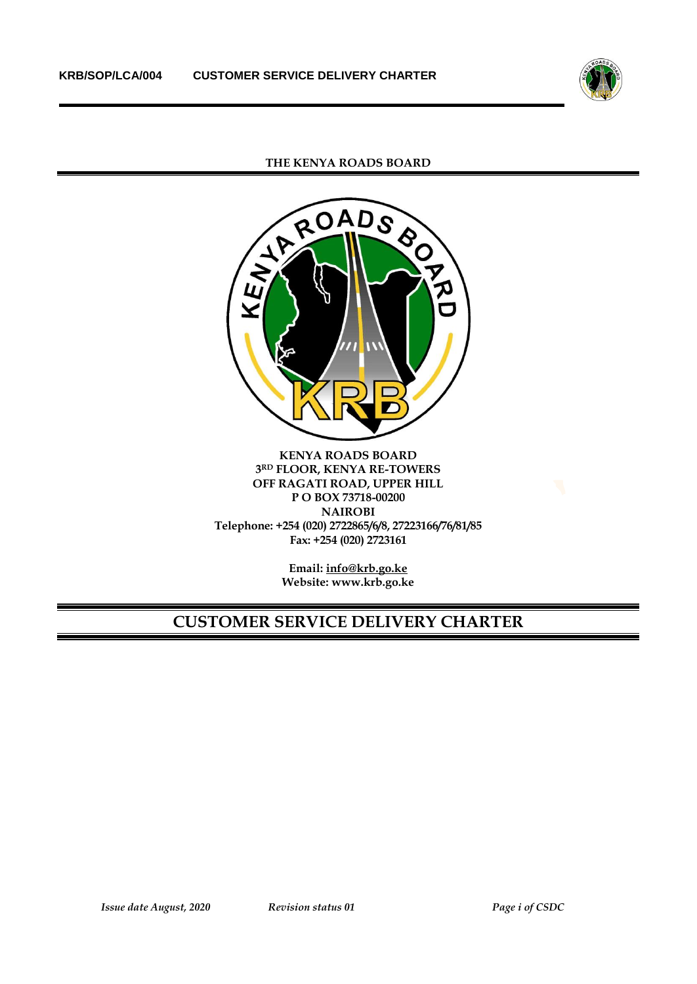

**THE KENYA ROADS BOARD**



**KENYA ROADS BOARD 3 RD FLOOR, KENYA RE-TOWERS OFF RAGATI ROAD, UPPER HILL P O BOX 73718-00200 NAIROBI Telephone: +254 (020) 2722865/6/8, 27223166/76/81/85 Fax: +254 (020) 2723161**

> **Email[: info@krb.go.ke](mailto:info@krb.go.ke) Website: www.krb.go.ke**

# **CUSTOMER SERVICE DELIVERY CHARTER**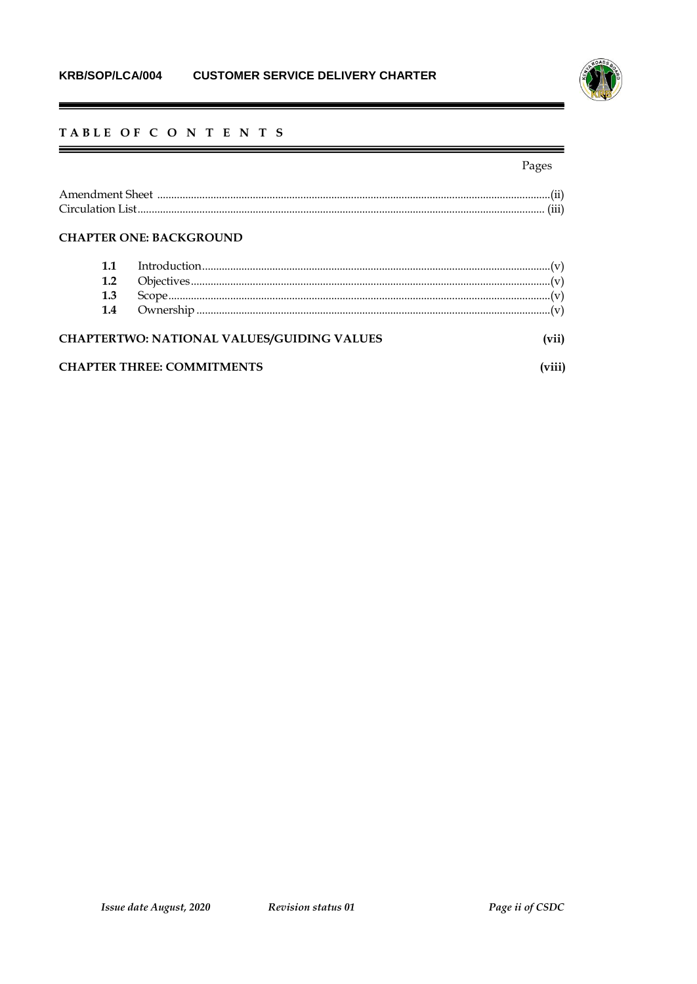

# TABLE OF C O N T E N T S

# Pages

=

# **CHAPTER ONE: BACKGROUND**

 $\blacksquare$ 

| 1.2 |                                            |  |
|-----|--------------------------------------------|--|
| 1.3 |                                            |  |
| 1.4 |                                            |  |
|     | CHAPTERTWO: NATIONAL VALUES/GUIDING VALUES |  |
|     | <b>CHAPTER THREE: COMMITMENTS</b>          |  |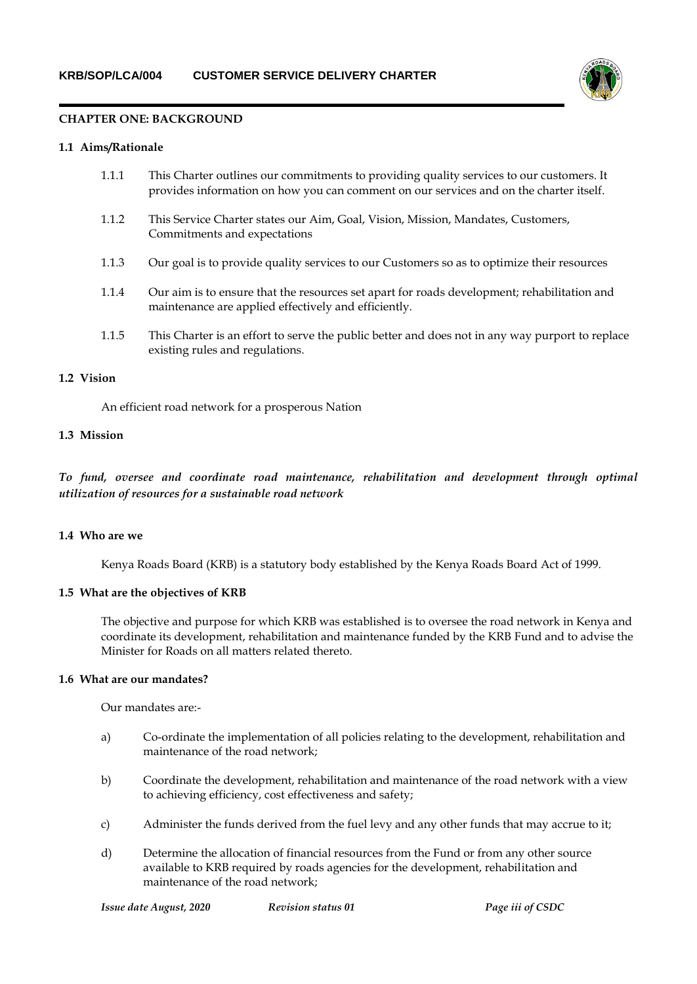

#### **CHAPTER ONE: BACKGROUND**

#### **1.1 Aims/Rationale**

| 1.1.1 | This Charter outlines our commitments to providing quality services to our customers. It |
|-------|------------------------------------------------------------------------------------------|
|       | provides information on how you can comment on our services and on the charter itself.   |

- 1.1.2 This Service Charter states our Aim, Goal, Vision, Mission, Mandates, Customers, Commitments and expectations
- 1.1.3 Our goal is to provide quality services to our Customers so as to optimize their resources
- 1.1.4 Our aim is to ensure that the resources set apart for roads development; rehabilitation and maintenance are applied effectively and efficiently.
- 1.1.5 This Charter is an effort to serve the public better and does not in any way purport to replace existing rules and regulations.

# **1.2 Vision**

An efficient road network for a prosperous Nation

#### **1.3 Mission**

*To fund, oversee and coordinate road maintenance, rehabilitation and development through optimal utilization of resources for a sustainable road network*

#### **1.4 Who are we**

Kenya Roads Board (KRB) is a statutory body established by the Kenya Roads Board Act of 1999.

#### **1.5 What are the objectives of KRB**

The objective and purpose for which KRB was established is to oversee the road network in Kenya and coordinate its development, rehabilitation and maintenance funded by the KRB Fund and to advise the Minister for Roads on all matters related thereto.

#### **1.6 What are our mandates?**

Our mandates are:-

- a) Co-ordinate the implementation of all policies relating to the development, rehabilitation and maintenance of the road network;
- b) Coordinate the development, rehabilitation and maintenance of the road network with a view to achieving efficiency, cost effectiveness and safety;
- c) Administer the funds derived from the fuel levy and any other funds that may accrue to it;
- d) Determine the allocation of financial resources from the Fund or from any other source available to KRB required by roads agencies for the development, rehabilitation and maintenance of the road network;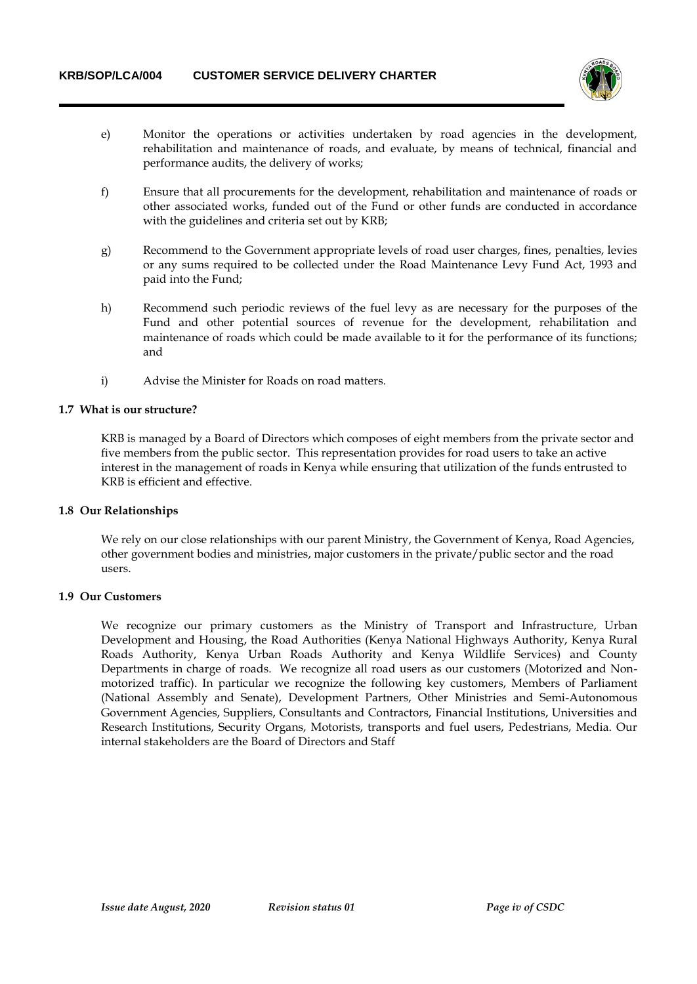

- e) Monitor the operations or activities undertaken by road agencies in the development, rehabilitation and maintenance of roads, and evaluate, by means of technical, financial and performance audits, the delivery of works;
- f) Ensure that all procurements for the development, rehabilitation and maintenance of roads or other associated works, funded out of the Fund or other funds are conducted in accordance with the guidelines and criteria set out by KRB;
- g) Recommend to the Government appropriate levels of road user charges, fines, penalties, levies or any sums required to be collected under the Road Maintenance Levy Fund Act, 1993 and paid into the Fund;
- h) Recommend such periodic reviews of the fuel levy as are necessary for the purposes of the Fund and other potential sources of revenue for the development, rehabilitation and maintenance of roads which could be made available to it for the performance of its functions; and
- i) Advise the Minister for Roads on road matters.

## **1.7 What is our structure?**

KRB is managed by a Board of Directors which composes of eight members from the private sector and five members from the public sector. This representation provides for road users to take an active interest in the management of roads in Kenya while ensuring that utilization of the funds entrusted to KRB is efficient and effective.

#### **1.8 Our Relationships**

We rely on our close relationships with our parent Ministry, the Government of Kenya, Road Agencies, other government bodies and ministries, major customers in the private/public sector and the road users.

#### **1.9 Our Customers**

We recognize our primary customers as the Ministry of Transport and Infrastructure, Urban Development and Housing, the Road Authorities (Kenya National Highways Authority, Kenya Rural Roads Authority, Kenya Urban Roads Authority and Kenya Wildlife Services) and County Departments in charge of roads. We recognize all road users as our customers (Motorized and Nonmotorized traffic). In particular we recognize the following key customers, Members of Parliament (National Assembly and Senate), Development Partners, Other Ministries and Semi-Autonomous Government Agencies, Suppliers, Consultants and Contractors, Financial Institutions, Universities and Research Institutions, Security Organs, Motorists, transports and fuel users, Pedestrians, Media. Our internal stakeholders are the Board of Directors and Staff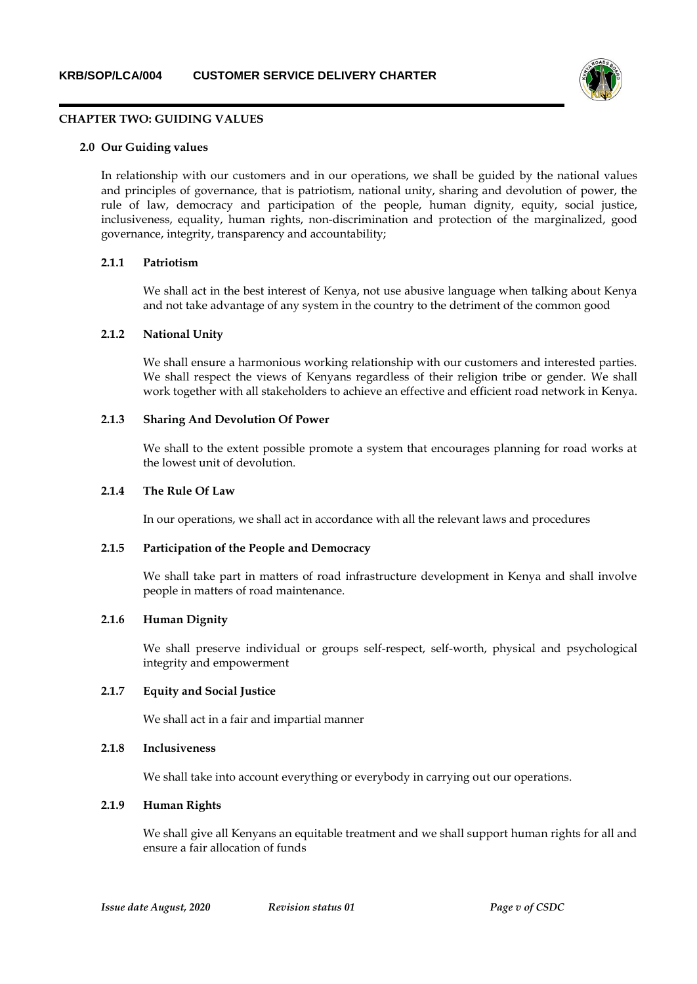

#### **CHAPTER TWO: GUIDING VALUES**

#### **2.0 Our Guiding values**

In relationship with our customers and in our operations, we shall be guided by the national values and principles of governance, that is patriotism, national unity, sharing and devolution of power, the rule of law, democracy and participation of the people, human dignity, equity, social justice, inclusiveness, equality, human rights, non-discrimination and protection of the marginalized, good governance, integrity, transparency and accountability;

#### **2.1.1 Patriotism**

We shall act in the best interest of Kenya, not use abusive language when talking about Kenya and not take advantage of any system in the country to the detriment of the common good

#### **2.1.2 National Unity**

We shall ensure a harmonious working relationship with our customers and interested parties. We shall respect the views of Kenyans regardless of their religion tribe or gender. We shall work together with all stakeholders to achieve an effective and efficient road network in Kenya.

#### **2.1.3 Sharing And Devolution Of Power**

We shall to the extent possible promote a system that encourages planning for road works at the lowest unit of devolution.

#### **2.1.4 The Rule Of Law**

In our operations, we shall act in accordance with all the relevant laws and procedures

#### **2.1.5 Participation of the People and Democracy**

We shall take part in matters of road infrastructure development in Kenya and shall involve people in matters of road maintenance.

# **2.1.6 Human Dignity**

We shall preserve individual or groups self-respect, self-worth, physical and psychological integrity and empowerment

#### **2.1.7 Equity and Social Justice**

We shall act in a fair and impartial manner

## **2.1.8 Inclusiveness**

We shall take into account everything or everybody in carrying out our operations.

# **2.1.9 Human Rights**

We shall give all Kenyans an equitable treatment and we shall support human rights for all and ensure a fair allocation of funds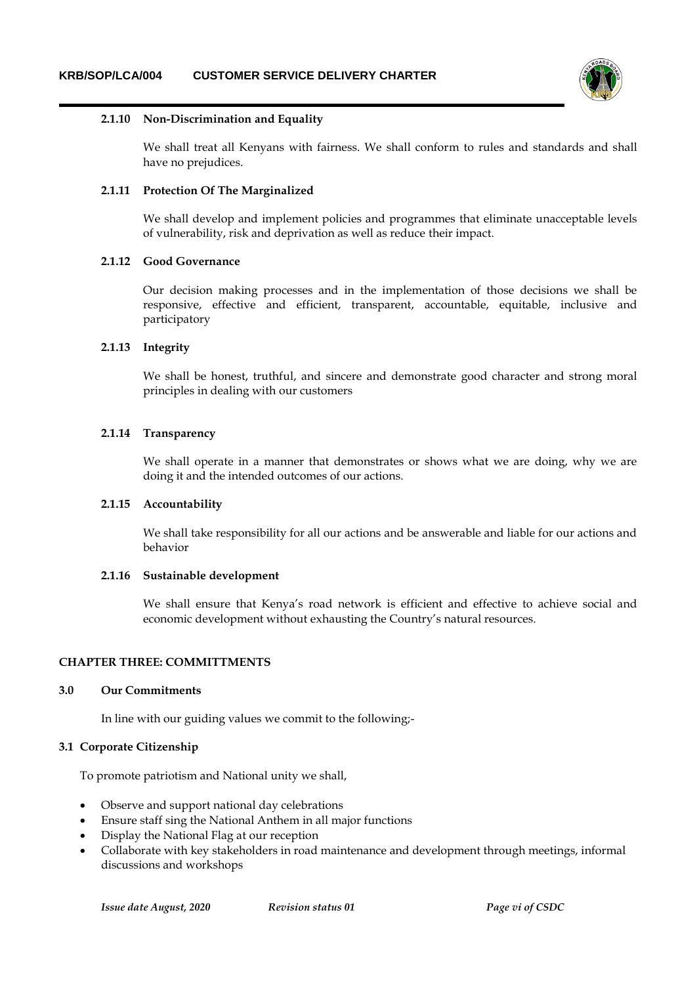

#### **2.1.10 Non-Discrimination and Equality**

We shall treat all Kenyans with fairness. We shall conform to rules and standards and shall have no prejudices.

#### **2.1.11 Protection Of The Marginalized**

We shall develop and implement policies and programmes that eliminate unacceptable levels of vulnerability, risk and deprivation as well as reduce their impact.

#### **2.1.12 Good Governance**

Our decision making processes and in the implementation of those decisions we shall be responsive, effective and efficient, transparent, accountable, equitable, inclusive and participatory

#### **2.1.13 Integrity**

We shall be honest, truthful, and sincere and demonstrate good character and strong moral principles in dealing with our customers

#### **2.1.14 Transparency**

We shall operate in a manner that demonstrates or shows what we are doing, why we are doing it and the intended outcomes of our actions.

# **2.1.15 Accountability**

We shall take responsibility for all our actions and be answerable and liable for our actions and behavior

#### **2.1.16 Sustainable development**

We shall ensure that Kenya's road network is efficient and effective to achieve social and economic development without exhausting the Country's natural resources.

#### **CHAPTER THREE: COMMITTMENTS**

# **3.0 Our Commitments**

In line with our guiding values we commit to the following;-

#### **3.1 Corporate Citizenship**

To promote patriotism and National unity we shall,

- Observe and support national day celebrations
- Ensure staff sing the National Anthem in all major functions
- Display the National Flag at our reception
- Collaborate with key stakeholders in road maintenance and development through meetings, informal discussions and workshops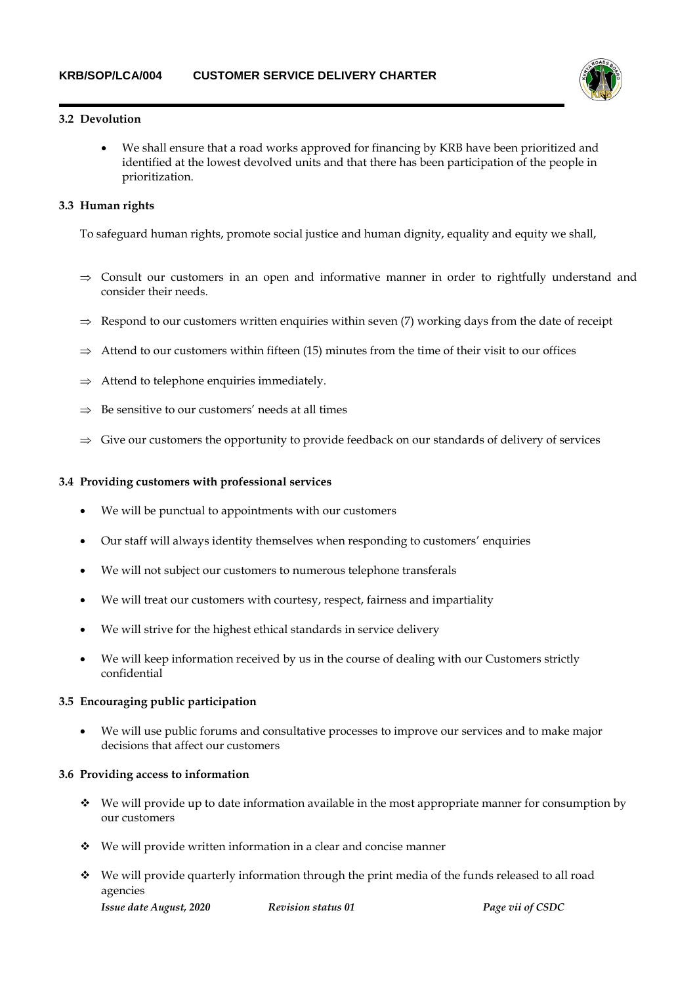

# **3.2 Devolution**

 We shall ensure that a road works approved for financing by KRB have been prioritized and identified at the lowest devolved units and that there has been participation of the people in prioritization.

# **3.3 Human rights**

To safeguard human rights, promote social justice and human dignity, equality and equity we shall,

- $\Rightarrow$  Consult our customers in an open and informative manner in order to rightfully understand and consider their needs.
- $\Rightarrow$  Respond to our customers written enquiries within seven (7) working days from the date of receipt
- $\Rightarrow$  Attend to our customers within fifteen (15) minutes from the time of their visit to our offices
- $\Rightarrow$  Attend to telephone enquiries immediately.
- Be sensitive to our customers' needs at all times
- $\Rightarrow$  Give our customers the opportunity to provide feedback on our standards of delivery of services

## **3.4 Providing customers with professional services**

- We will be punctual to appointments with our customers
- Our staff will always identity themselves when responding to customers' enquiries
- We will not subject our customers to numerous telephone transferals
- We will treat our customers with courtesy, respect, fairness and impartiality
- We will strive for the highest ethical standards in service delivery
- We will keep information received by us in the course of dealing with our Customers strictly confidential

# **3.5 Encouraging public participation**

 We will use public forums and consultative processes to improve our services and to make major decisions that affect our customers

# **3.6 Providing access to information**

- $\bullet$  We will provide up to date information available in the most appropriate manner for consumption by our customers
- We will provide written information in a clear and concise manner
- We will provide quarterly information through the print media of the funds released to all road agencies

*Issue date August, 2020 Revision status 01 Page vii of CSDC*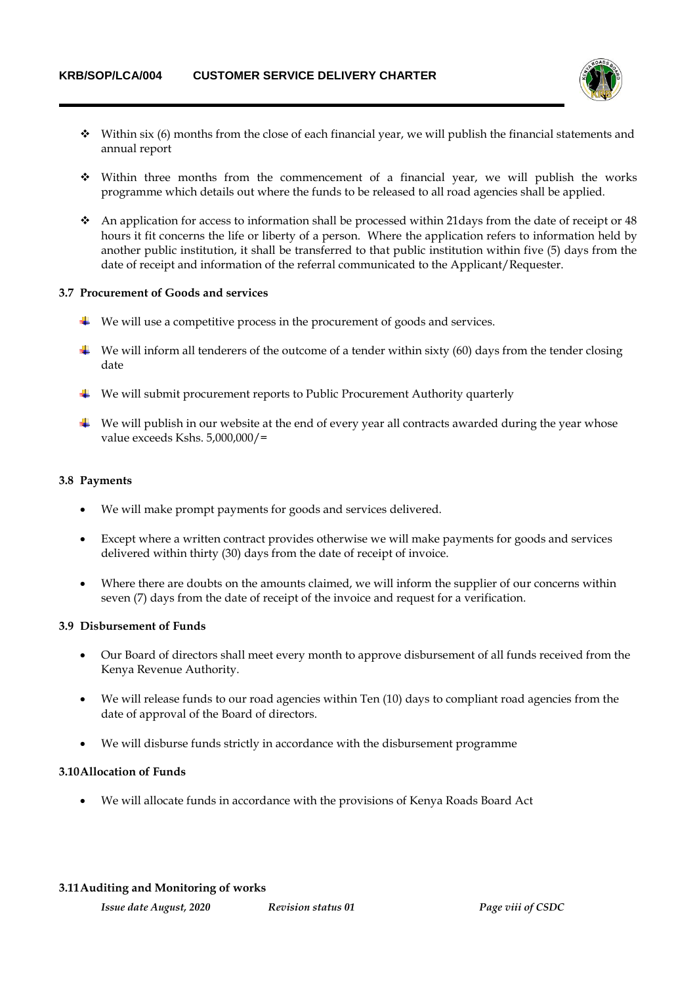

- $\bullet$  Within six (6) months from the close of each financial year, we will publish the financial statements and annual report
- Within three months from the commencement of a financial year, we will publish the works programme which details out where the funds to be released to all road agencies shall be applied.
- An application for access to information shall be processed within 21days from the date of receipt or 48 hours it fit concerns the life or liberty of a person. Where the application refers to information held by another public institution, it shall be transferred to that public institution within five (5) days from the date of receipt and information of the referral communicated to the Applicant/Requester.

## **3.7 Procurement of Goods and services**

- $\ddot{\bullet}$  We will use a competitive process in the procurement of goods and services.
- $\overline{\phantom{a}}$  We will inform all tenderers of the outcome of a tender within sixty (60) days from the tender closing date
- $\ddot{\textbf{u}}$  We will submit procurement reports to Public Procurement Authority quarterly
- $\downarrow$  We will publish in our website at the end of every year all contracts awarded during the year whose value exceeds Kshs. 5,000,000/=

#### **3.8 Payments**

- We will make prompt payments for goods and services delivered.
- Except where a written contract provides otherwise we will make payments for goods and services delivered within thirty (30) days from the date of receipt of invoice.
- Where there are doubts on the amounts claimed, we will inform the supplier of our concerns within seven (7) days from the date of receipt of the invoice and request for a verification.

# **3.9 Disbursement of Funds**

- Our Board of directors shall meet every month to approve disbursement of all funds received from the Kenya Revenue Authority.
- We will release funds to our road agencies within Ten (10) days to compliant road agencies from the date of approval of the Board of directors.
- We will disburse funds strictly in accordance with the disbursement programme

#### **3.10Allocation of Funds**

We will allocate funds in accordance with the provisions of Kenya Roads Board Act

#### **3.11Auditing and Monitoring of works**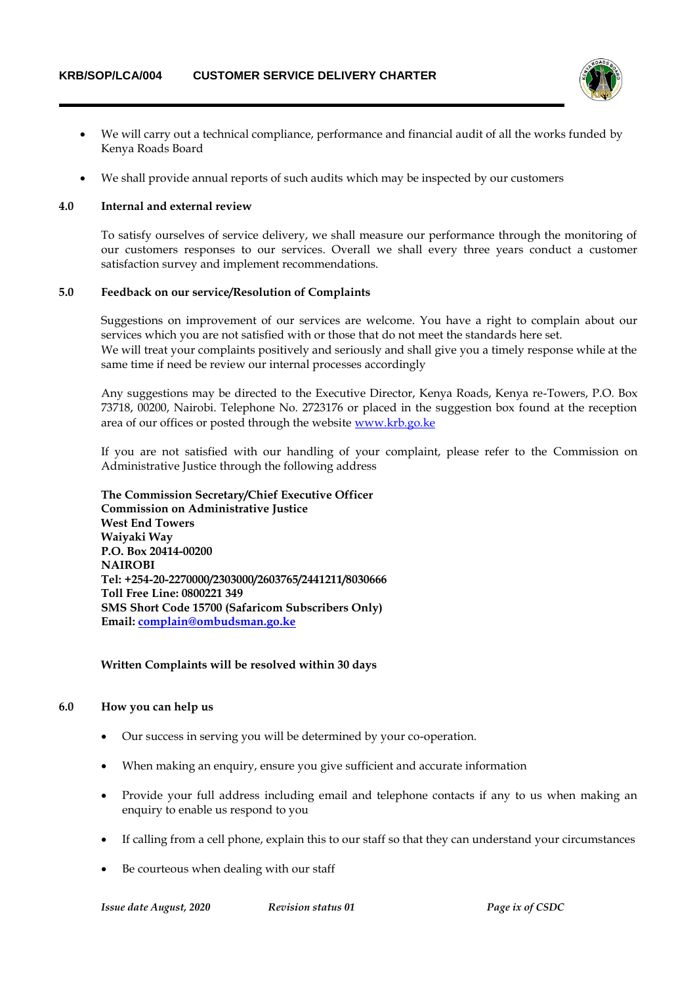

- We will carry out a technical compliance, performance and financial audit of all the works funded by Kenya Roads Board
- We shall provide annual reports of such audits which may be inspected by our customers

#### **4.0 Internal and external review**

To satisfy ourselves of service delivery, we shall measure our performance through the monitoring of our customers responses to our services. Overall we shall every three years conduct a customer satisfaction survey and implement recommendations.

#### **5.0 Feedback on our service/Resolution of Complaints**

Suggestions on improvement of our services are welcome. You have a right to complain about our services which you are not satisfied with or those that do not meet the standards here set. We will treat your complaints positively and seriously and shall give you a timely response while at the same time if need be review our internal processes accordingly

Any suggestions may be directed to the Executive Director, Kenya Roads, Kenya re-Towers, P.O. Box 73718, 00200, Nairobi. Telephone No. 2723176 or placed in the suggestion box found at the reception area of our offices or posted through the website [www.krb.go.ke](http://www.krb.go.ke/)

If you are not satisfied with our handling of your complaint, please refer to the Commission on Administrative Justice through the following address

**The Commission Secretary/Chief Executive Officer Commission on Administrative Justice West End Towers Waiyaki Way P.O. Box 20414-00200 NAIROBI Tel: +254-20-2270000/2303000/2603765/2441211/8030666 Toll Free Line: 0800221 349 SMS Short Code 15700 (Safaricom Subscribers Only) Email: [complain@ombudsman.go.ke](mailto:complain@ombudsman.go.ke)**

#### **Written Complaints will be resolved within 30 days**

#### **6.0 How you can help us**

- Our success in serving you will be determined by your co-operation.
- When making an enquiry, ensure you give sufficient and accurate information
- Provide your full address including email and telephone contacts if any to us when making an enquiry to enable us respond to you
- If calling from a cell phone, explain this to our staff so that they can understand your circumstances
- Be courteous when dealing with our staff